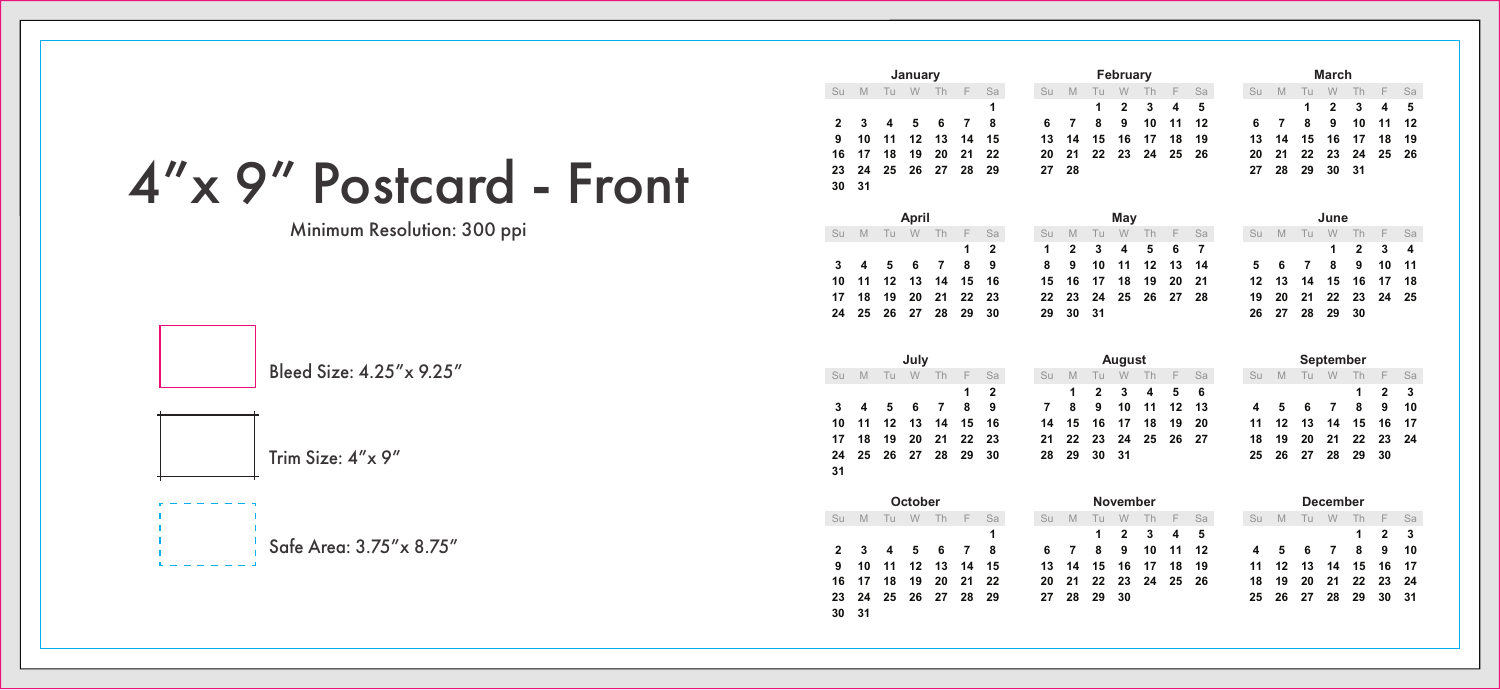4"x 9" Postcard - Front

Minimum Resolution: 300 ppi

Bleed Size: 4.25"x 9.25"

Trim Size: 4"x 9"

Safe Area: 3.75"x 8.75"

| January        |          |          |              |                |                |                |          | February       |    |                |    |    |    |           | March    |    |                |                |                |                         |    |
|----------------|----------|----------|--------------|----------------|----------------|----------------|----------|----------------|----|----------------|----|----|----|-----------|----------|----|----------------|----------------|----------------|-------------------------|----|
| Su             | M        |          | Tu W         | Th             | F              | Sa             | Su       | M              | Tu | W              | Th | F  | Sa |           | Su       | M  | Tu             | W              | Th             | F                       | Sa |
|                |          |          |              |                |                | 1              |          |                | 1  | 2              | 3  | 4  | 5  |           |          |    | 1              | $\overline{2}$ | 3              | $\overline{\mathbf{4}}$ | 5  |
| $\overline{2}$ | 3        | 4        | 5            | 6              | $\overline{7}$ | 8              | 6        | $\overline{7}$ | 8  | 9              | 10 | 11 | 12 |           | 6        | 7  | 8              | 9              | 10             | 11                      | 12 |
| 9              | 10       | 11       | 12           | 13             | 14             | 15             | 13       | 14             | 15 | 16             | 17 | 18 | 19 |           | 13       | 14 | 15             | 16             | 17             | 18                      | 19 |
| 16             | 17<br>24 | 18<br>25 | 19           | 20             | 21<br>28       | 22<br>29       | 20<br>27 | 21             | 22 | 23             | 24 | 25 | 26 |           | 20       | 21 | 22             | 23<br>30       | 24             | 25                      | 26 |
| 23<br>30       | 31       |          | 26           | 27             |                |                |          | 28             |    |                |    |    |    |           | 27       | 28 | 29             |                | 31             |                         |    |
|                |          |          |              |                |                |                |          |                |    |                |    |    |    |           |          |    |                |                |                |                         |    |
| April          |          |          |              |                |                |                | May      |                |    |                |    |    |    | June      |          |    |                |                |                |                         |    |
| Su             | M        | Tu       | W            | Th             | F              | Sa             | Su       | M              | Tu | W              | Th | F  | Sa |           | Su       | M  | Tu             | W              | Th             | F                       | Sa |
|                |          |          |              |                | 1              | $\overline{2}$ | 1        | $\overline{2}$ | 3  | 4              | 5  | 6  | 7  |           |          |    |                | 1              | $\overline{2}$ | 3                       | 4  |
| 3              | 4        | 5        | 6            | 7              | 8              | 9              | 8        | 9              | 10 | 11             | 12 | 13 | 14 |           | 5        | 6  | $\overline{7}$ | 8              | 9              | 10                      | 11 |
| 10             | 11       | 12       | 13           | 14             | 15             | 16             | 15       | 16             | 17 | 18             | 19 | 20 | 21 |           | 12       | 13 | 14             | 15             | 16             | 17                      | 18 |
| 17             | 18       | 19       | 20           | 21             | 22             | 23             | 22       | 23             | 24 | 25             | 26 | 27 | 28 |           | 19       | 20 | 21             | 22             | 23             | 24                      | 25 |
| 24             | 25       | 26       | 27           | 28             | 29             | 30             | 29       | 30             | 31 |                |    |    |    |           | 26       | 27 | 28             | 29             | 30             |                         |    |
|                |          |          |              |                |                |                |          |                |    |                |    |    |    |           |          |    |                |                |                |                         |    |
|                |          | July     |              |                |                |                | August   |                |    |                |    |    |    | September |          |    |                |                |                |                         |    |
|                |          |          |              |                |                |                |          |                |    |                |    |    |    |           |          |    |                |                |                |                         |    |
|                | M        | Tu       | W            | Th             | F              | Sa             | Su       | M              | Tu | W              | Th | F  | Sa |           | Su       | M  | Tu             | W              | Th             | F                       | Sa |
|                |          |          |              |                | 1              | $\overline{2}$ |          | 1              | 2  | 3              | 4  | 5  | 6  |           |          |    |                |                | 1              | $\overline{2}$          | 3  |
| 3              | 4        | 5        | 6            | $\overline{7}$ | 8              | 9              | 7        | 8              | 9  | 10             | 11 | 12 | 13 |           | 4        | 5  | 6              | 7              | 8              | 9                       | 10 |
| 10             | 11       | 12       | 13           | 14             | 15             | 16             | 14       | 15             | 16 | 17             | 18 | 19 | 20 |           | 11       | 12 | 13             | 14             | 15             | 16                      | 17 |
| 17             | 18       | 19       | 20           | 21             | 22             | 23             | 21       | 22             | 23 | 24             | 25 | 26 | 27 |           | 18       | 19 | 20             | 21             | 22             | 23                      | 24 |
|                | 25       | 26       | 27           | 28             | 29             | 30             | 28       | 29             | 30 | 31             |    |    |    |           | 25       | 26 | 27             | 28             | 29             | 30                      |    |
|                |          |          |              |                |                |                |          |                |    |                |    |    |    |           |          |    |                |                |                |                         |    |
| Su<br>24<br>31 |          |          |              |                |                |                |          |                |    |                |    |    |    |           |          |    |                |                |                |                         |    |
|                | M        | Tu       | October<br>W | Th             | F              | Sa             | SII      | M              | Tu | November<br>W  | Th | F  | Sa |           | $S_{II}$ | M  | Tu             | December<br>W  | Th             | F                       | Sa |
| Su             |          |          |              |                |                | 1              |          |                | 1  | $\overline{2}$ | 3  | 4  | 5  |           |          |    |                |                | 1              | $\overline{2}$          | 3  |
| $\overline{2}$ | 3        | 4        | 5            | 6              | $\overline{7}$ | 8              | 6        | $\overline{7}$ | 8  | 9              | 10 | 11 | 12 |           | 4        | 5  | 6              | 7              | 8              | 9                       | 10 |
| 9              | 10       | 11       | 12           | 13             | 14             | 15             | 13       | 14             | 15 | 16             | 17 | 18 | 19 |           | 11       | 12 | 13             | 14             | 15             | 16                      | 17 |
| 16             | 17       | 18       | 19           | 20             | 21             | 22             | 20       | 21             | 22 | 23             | 24 | 25 | 26 |           | 18       | 19 | 20             | 21             | 22             | 23                      | 24 |
| 23             | 24       | 25       | 26           | 27             | 28             | 29             | 27       | 28             | 29 | 30             |    |    |    |           | 25       | 26 | 27             | 28             | 29             | 30                      | 31 |
| 30             | 31       |          |              |                |                |                |          |                |    |                |    |    |    |           |          |    |                |                |                |                         |    |